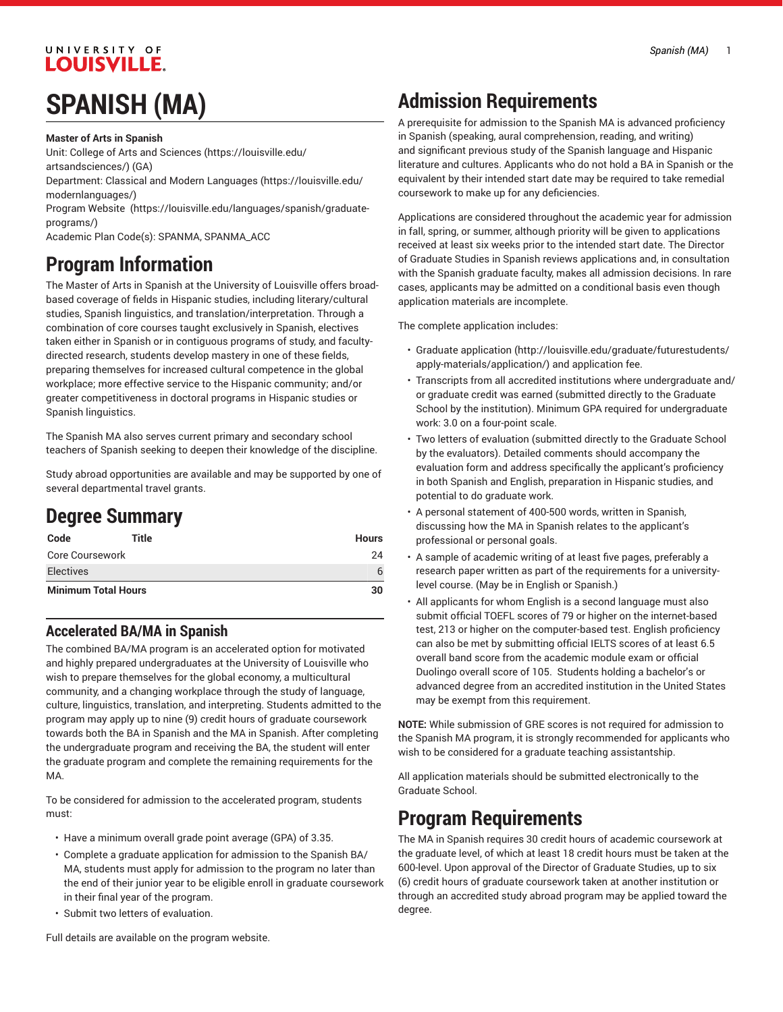#### *Spanish (MA)* 1

#### UNIVERSITY OF **LOUISVILLE.**

## **SPANISH (MA)**

**Master of Arts in Spanish**

Unit: College of Arts and [Sciences \(https://louisville.edu/](https://louisville.edu/artsandsciences/) [artsandsciences/\)](https://louisville.edu/artsandsciences/) (GA)

Department: [Classical and Modern Languages \(https://louisville.edu/](https://louisville.edu/modernlanguages/) [modernlanguages/](https://louisville.edu/modernlanguages/))

Program [Website \(https://louisville.edu/languages/spanish/graduate](https://louisville.edu/languages/spanish/graduate-programs/)[programs/\)](https://louisville.edu/languages/spanish/graduate-programs/)

Academic Plan Code(s): SPANMA, SPANMA\_ACC

## **Program Information**

The Master of Arts in Spanish at the University of Louisville offers broadbased coverage of fields in Hispanic studies, including literary/cultural studies, Spanish linguistics, and translation/interpretation. Through a combination of core courses taught exclusively in Spanish, electives taken either in Spanish or in contiguous programs of study, and facultydirected research, students develop mastery in one of these fields, preparing themselves for increased cultural competence in the global workplace; more effective service to the Hispanic community; and/or greater competitiveness in doctoral programs in Hispanic studies or Spanish linguistics.

The Spanish MA also serves current primary and secondary school teachers of Spanish seeking to deepen their knowledge of the discipline.

Study abroad opportunities are available and may be supported by one of several departmental travel grants.

## **Degree Summary**

| Code                       | Title | <b>Hours</b> |
|----------------------------|-------|--------------|
| Core Coursework            |       | 24           |
| <b>Electives</b>           |       | 6            |
| <b>Minimum Total Hours</b> |       | 30           |

### **Accelerated BA/MA in Spanish**

The combined BA/MA program is an accelerated option for motivated and highly prepared undergraduates at the University of Louisville who wish to prepare themselves for the global economy, a multicultural community, and a changing workplace through the study of language, culture, linguistics, translation, and interpreting. Students admitted to the program may apply up to nine (9) credit hours of graduate coursework towards both the BA in Spanish and the MA in Spanish. After completing the undergraduate program and receiving the BA, the student will enter the graduate program and complete the remaining requirements for the MA.

To be considered for admission to the accelerated program, students must:

- Have a minimum overall grade point average (GPA) of 3.35.
- Complete a graduate application for admission to the Spanish BA/ MA, students must apply for admission to the program no later than the end of their junior year to be eligible enroll in graduate coursework in their final year of the program.
- Submit two letters of evaluation.

**NOTE:** While submission of GRE scores is not required for admission to the Spanish MA program, it is strongly recommended for applicants who wish to be considered for a graduate teaching assistantship.

All application materials should be submitted electronically to the Graduate School.

### **Program Requirements**

The MA in Spanish requires 30 credit hours of academic coursework at the graduate level, of which at least 18 credit hours must be taken at the 600-level. Upon approval of the Director of Graduate Studies, up to six (6) credit hours of graduate coursework taken at another institution or through an accredited study abroad program may be applied toward the degree.

Full details are available on the program website.

## **Admission Requirements**

A prerequisite for admission to the Spanish MA is advanced proficiency in Spanish (speaking, aural comprehension, reading, and writing) and significant previous study of the Spanish language and Hispanic literature and cultures. Applicants who do not hold a BA in Spanish or the equivalent by their intended start date may be required to take remedial coursework to make up for any deficiencies.

Applications are considered throughout the academic year for admission in fall, spring, or summer, although priority will be given to applications received at least six weeks prior to the intended start date. The Director of Graduate Studies in Spanish reviews applications and, in consultation with the Spanish graduate faculty, makes all admission decisions. In rare cases, applicants may be admitted on a conditional basis even though application materials are incomplete.

The complete application includes:

- [Graduate application](http://louisville.edu/graduate/futurestudents/apply-materials/application/) [\(http://louisville.edu/graduate/futurestudents/](http://louisville.edu/graduate/futurestudents/apply-materials/application/) [apply-materials/application/](http://louisville.edu/graduate/futurestudents/apply-materials/application/)) and application fee.
- Transcripts from all accredited institutions where undergraduate and/ or graduate credit was earned (submitted directly to the Graduate School by the institution). Minimum GPA required for undergraduate work: 3.0 on a four-point scale.
- Two letters of evaluation (submitted directly to the Graduate School by the evaluators). Detailed comments should accompany the evaluation form and address specifically the applicant's proficiency in both Spanish and English, preparation in Hispanic studies, and potential to do graduate work.
- A personal statement of 400-500 words, written in Spanish, discussing how the MA in Spanish relates to the applicant's professional or personal goals.
- A sample of academic writing of at least five pages, preferably a research paper written as part of the requirements for a universitylevel course. (May be in English or Spanish.)
- All applicants for whom English is a second language must also submit official TOEFL scores of 79 or higher on the internet-based test, 213 or higher on the computer-based test. English proficiency can also be met by submitting official IELTS scores of at least 6.5 overall band score from the academic module exam or official Duolingo overall score of 105. Students holding a bachelor's or advanced degree from an accredited institution in the United States may be exempt from this requirement.